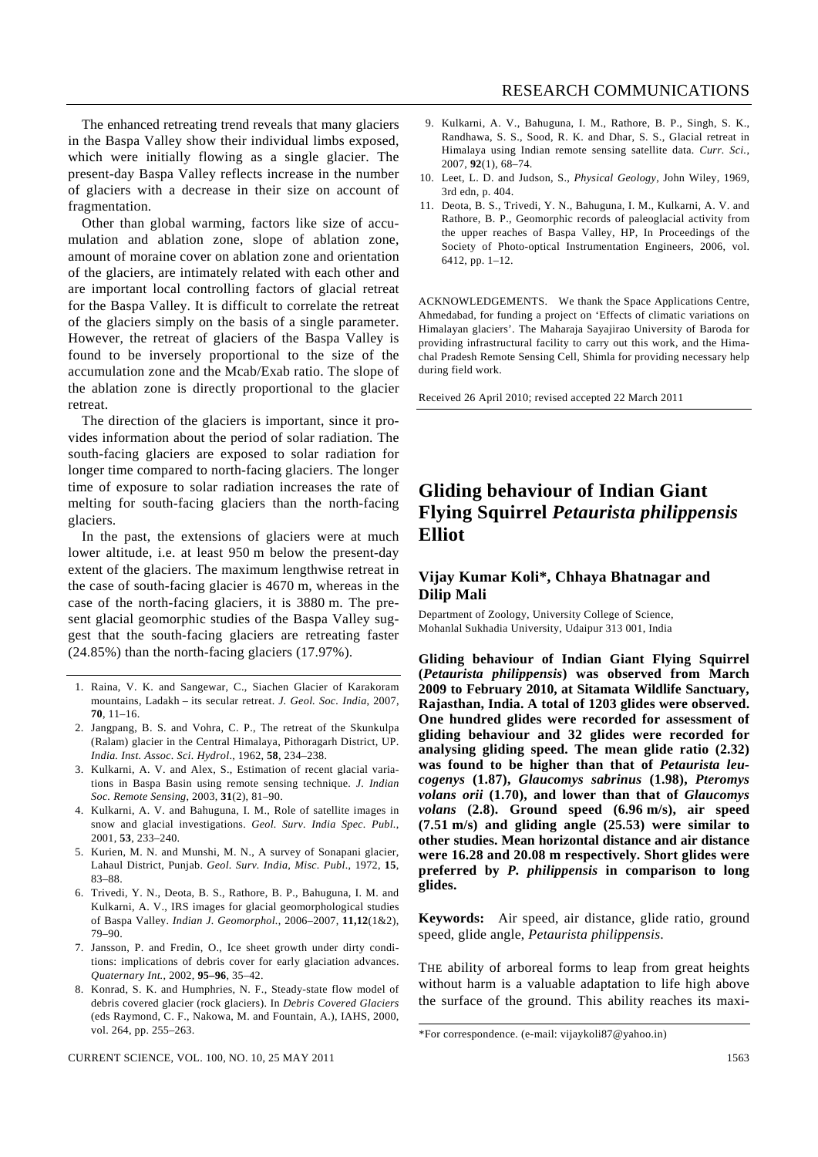Other than global warming, factors like size of accumulation and ablation zone, slope of ablation zone, amount of moraine cover on ablation zone and orientation of the glaciers, are intimately related with each other and are important local controlling factors of glacial retreat for the Baspa Valley. It is difficult to correlate the retreat of the glaciers simply on the basis of a single parameter. However, the retreat of glaciers of the Baspa Valley is found to be inversely proportional to the size of the accumulation zone and the Mcab/Exab ratio. The slope of the ablation zone is directly proportional to the glacier retreat.

 The direction of the glaciers is important, since it provides information about the period of solar radiation. The south-facing glaciers are exposed to solar radiation for longer time compared to north-facing glaciers. The longer time of exposure to solar radiation increases the rate of melting for south-facing glaciers than the north-facing glaciers.

 In the past, the extensions of glaciers were at much lower altitude, i.e. at least 950 m below the present-day extent of the glaciers. The maximum lengthwise retreat in the case of south-facing glacier is 4670 m, whereas in the case of the north-facing glaciers, it is 3880 m. The present glacial geomorphic studies of the Baspa Valley suggest that the south-facing glaciers are retreating faster (24.85%) than the north-facing glaciers (17.97%).

- 1. Raina, V. K. and Sangewar, C., Siachen Glacier of Karakoram mountains, Ladakh – its secular retreat. *J. Geol. Soc. India*, 2007, **70**, 11–16.
- 2. Jangpang, B. S. and Vohra, C. P., The retreat of the Skunkulpa (Ralam) glacier in the Central Himalaya, Pithoragarh District, UP. *India. Inst. Assoc. Sci. Hydrol*., 1962, **58**, 234–238.
- 3. Kulkarni, A. V. and Alex, S., Estimation of recent glacial variations in Baspa Basin using remote sensing technique. *J. Indian Soc. Remote Sensing*, 2003, **31**(2), 81–90.
- 4. Kulkarni, A. V. and Bahuguna, I. M., Role of satellite images in snow and glacial investigations. *Geol. Surv. India Spec. Publ.*, 2001, **53**, 233–240.
- 5. Kurien, M. N. and Munshi, M. N., A survey of Sonapani glacier, Lahaul District, Punjab. *Geol. Surv. India, Misc. Publ.*, 1972, **15**, 83–88.
- 6. Trivedi, Y. N., Deota, B. S., Rathore, B. P., Bahuguna, I. M. and Kulkarni, A. V., IRS images for glacial geomorphological studies of Baspa Valley. *Indian J. Geomorphol.*, 2006–2007, **11,12**(1&2), 79–90.
- 7. Jansson, P. and Fredin, O., Ice sheet growth under dirty conditions: implications of debris cover for early glaciation advances. *Quaternary Int.*, 2002, **95–96**, 35–42.
- 8. Konrad, S. K. and Humphries, N. F., Steady-state flow model of debris covered glacier (rock glaciers). In *Debris Covered Glaciers* (eds Raymond, C. F., Nakowa, M. and Fountain, A.), IAHS, 2000, vol. 264, pp. 255–263.
- 9. Kulkarni, A. V., Bahuguna, I. M., Rathore, B. P., Singh, S. K., Randhawa, S. S., Sood, R. K. and Dhar, S. S., Glacial retreat in Himalaya using Indian remote sensing satellite data. *Curr. Sci.*, 2007, **92**(1), 68–74.
- 10. Leet, L. D. and Judson, S., *Physical Geology*, John Wiley, 1969, 3rd edn, p. 404.
- 11. Deota, B. S., Trivedi, Y. N., Bahuguna, I. M., Kulkarni, A. V. and Rathore, B. P., Geomorphic records of paleoglacial activity from the upper reaches of Baspa Valley, HP, In Proceedings of the Society of Photo-optical Instrumentation Engineers, 2006, vol. 6412, pp. 1–12.

ACKNOWLEDGEMENTS. We thank the Space Applications Centre, Ahmedabad, for funding a project on 'Effects of climatic variations on Himalayan glaciers'. The Maharaja Sayajirao University of Baroda for providing infrastructural facility to carry out this work, and the Himachal Pradesh Remote Sensing Cell, Shimla for providing necessary help during field work.

Received 26 April 2010; revised accepted 22 March 2011

## **Gliding behaviour of Indian Giant Flying Squirrel** *Petaurista philippensis* **Elliot**

## **Vijay Kumar Koli\*, Chhaya Bhatnagar and Dilip Mali**

Department of Zoology, University College of Science, Mohanlal Sukhadia University, Udaipur 313 001, India

**Gliding behaviour of Indian Giant Flying Squirrel (***Petaurista philippensis***) was observed from March 2009 to February 2010, at Sitamata Wildlife Sanctuary, Rajasthan, India. A total of 1203 glides were observed. One hundred glides were recorded for assessment of gliding behaviour and 32 glides were recorded for analysing gliding speed. The mean glide ratio (2.32) was found to be higher than that of** *Petaurista leucogenys* **(1.87),** *Glaucomys sabrinus* **(1.98),** *Pteromys volans orii* **(1.70), and lower than that of** *Glaucomys volans* **(2.8). Ground speed (6.96 m/s), air speed (7.51 m/s) and gliding angle (25.53) were similar to other studies. Mean horizontal distance and air distance were 16.28 and 20.08 m respectively. Short glides were preferred by** *P. philippensis* **in comparison to long glides.** 

**Keywords:** Air speed, air distance, glide ratio, ground speed, glide angle, *Petaurista philippensis*.

THE ability of arboreal forms to leap from great heights without harm is a valuable adaptation to life high above the surface of the ground. This ability reaches its maxi-

<sup>\*</sup>For correspondence. (e-mail: vijaykoli87@yahoo.in)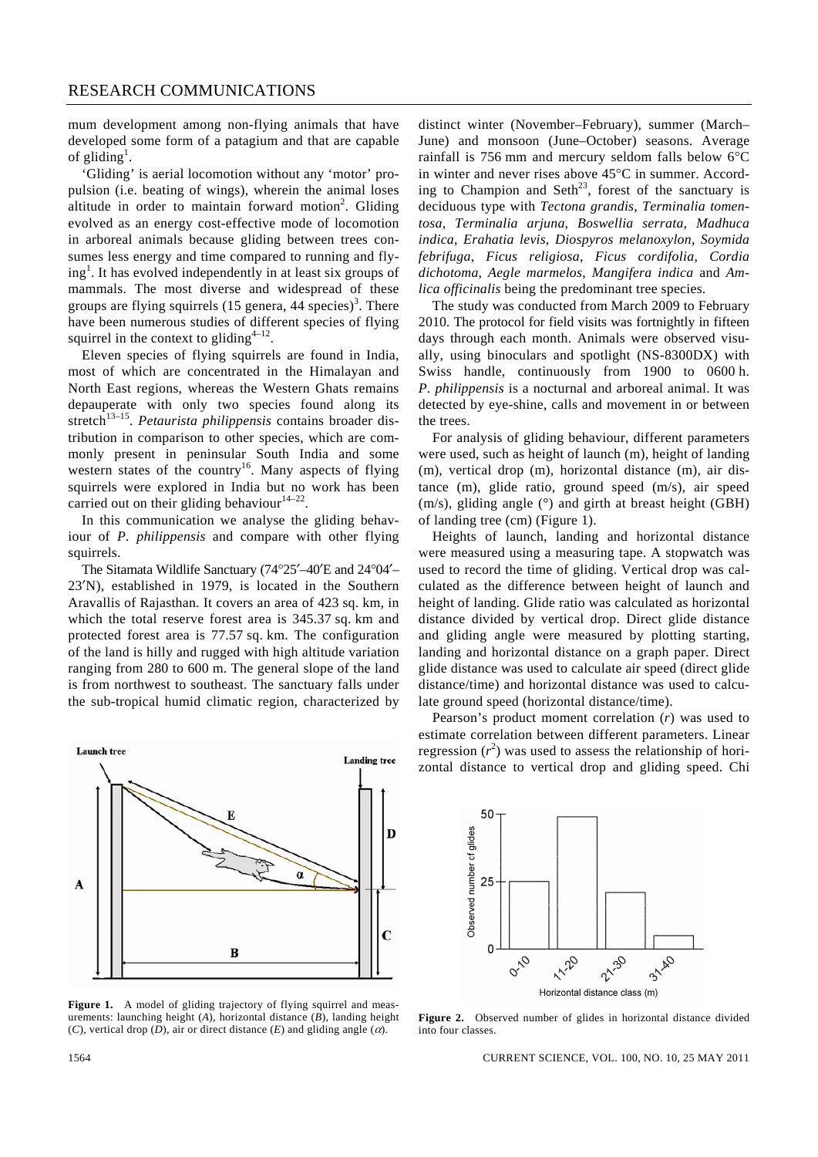mum development among non-flying animals that have developed some form of a patagium and that are capable of gliding<sup>1</sup>.

 'Gliding' is aerial locomotion without any 'motor' propulsion (i.e. beating of wings), wherein the animal loses altitude in order to maintain forward motion<sup>2</sup>. Gliding evolved as an energy cost-effective mode of locomotion in arboreal animals because gliding between trees consumes less energy and time compared to running and flying<sup>1</sup>. It has evolved independently in at least six groups of mammals. The most diverse and widespread of these groups are flying squirrels (15 genera, 44 species)<sup>3</sup>. There have been numerous studies of different species of flying squirrel in the context to gliding<sup>4–12</sup>.

 Eleven species of flying squirrels are found in India, most of which are concentrated in the Himalayan and North East regions, whereas the Western Ghats remains depauperate with only two species found along its stretch<sup>13-15</sup>. *Petaurista philippensis* contains broader distribution in comparison to other species, which are commonly present in peninsular South India and some western states of the country<sup>16</sup>. Many aspects of flying squirrels were explored in India but no work has been carried out on their gliding behaviour $14-22$ .

 In this communication we analyse the gliding behaviour of *P. philippensis* and compare with other flying squirrels.

 The Sitamata Wildlife Sanctuary (74°25′–40′E and 24°04′– 23′N), established in 1979, is located in the Southern Aravallis of Rajasthan. It covers an area of 423 sq. km, in which the total reserve forest area is 345.37 sq. km and protected forest area is 77.57 sq. km. The configuration of the land is hilly and rugged with high altitude variation ranging from 280 to 600 m. The general slope of the land is from northwest to southeast. The sanctuary falls under the sub-tropical humid climatic region, characterized by

Launch tree Landing tree D A  $\mathbf C$ B

Figure 1. A model of gliding trajectory of flying squirrel and measurements: launching height (*A*), horizontal distance (*B*), landing height (*C*), vertical drop (*D*), air or direct distance (*E*) and gliding angle ( $\alpha$ ).

distinct winter (November–February), summer (March– June) and monsoon (June–October) seasons. Average rainfall is 756 mm and mercury seldom falls below 6°C in winter and never rises above 45°C in summer. According to Champion and Seth<sup>23</sup>, forest of the sanctuary is deciduous type with *Tectona grandis*, *Terminalia tomentosa*, *Terminalia arjuna*, *Boswellia serrata*, *Madhuca indica*, *Erahatia levis*, *Diospyros melanoxylon*, *Soymida febrifuga*, *Ficus religiosa*, *Ficus cordifolia*, *Cordia dichotoma*, *Aegle marmelos*, *Mangifera indica* and *Amlica officinalis* being the predominant tree species.

 The study was conducted from March 2009 to February 2010. The protocol for field visits was fortnightly in fifteen days through each month. Animals were observed visually, using binoculars and spotlight (NS-8300DX) with Swiss handle, continuously from 1900 to 0600 h. *P. philippensis* is a nocturnal and arboreal animal. It was detected by eye-shine, calls and movement in or between the trees.

 For analysis of gliding behaviour, different parameters were used, such as height of launch (m), height of landing (m), vertical drop (m), horizontal distance (m), air distance (m), glide ratio, ground speed (m/s), air speed  $(m/s)$ , gliding angle  $(^{\circ})$  and girth at breast height (GBH) of landing tree (cm) (Figure 1).

 Heights of launch, landing and horizontal distance were measured using a measuring tape. A stopwatch was used to record the time of gliding. Vertical drop was calculated as the difference between height of launch and height of landing. Glide ratio was calculated as horizontal distance divided by vertical drop. Direct glide distance and gliding angle were measured by plotting starting, landing and horizontal distance on a graph paper. Direct glide distance was used to calculate air speed (direct glide distance/time) and horizontal distance was used to calculate ground speed (horizontal distance/time).

 Pearson's product moment correlation (*r*) was used to estimate correlation between different parameters. Linear regression  $(r^2)$  was used to assess the relationship of horizontal distance to vertical drop and gliding speed. Chi



**Figure 2.** Observed number of glides in horizontal distance divided into four classes.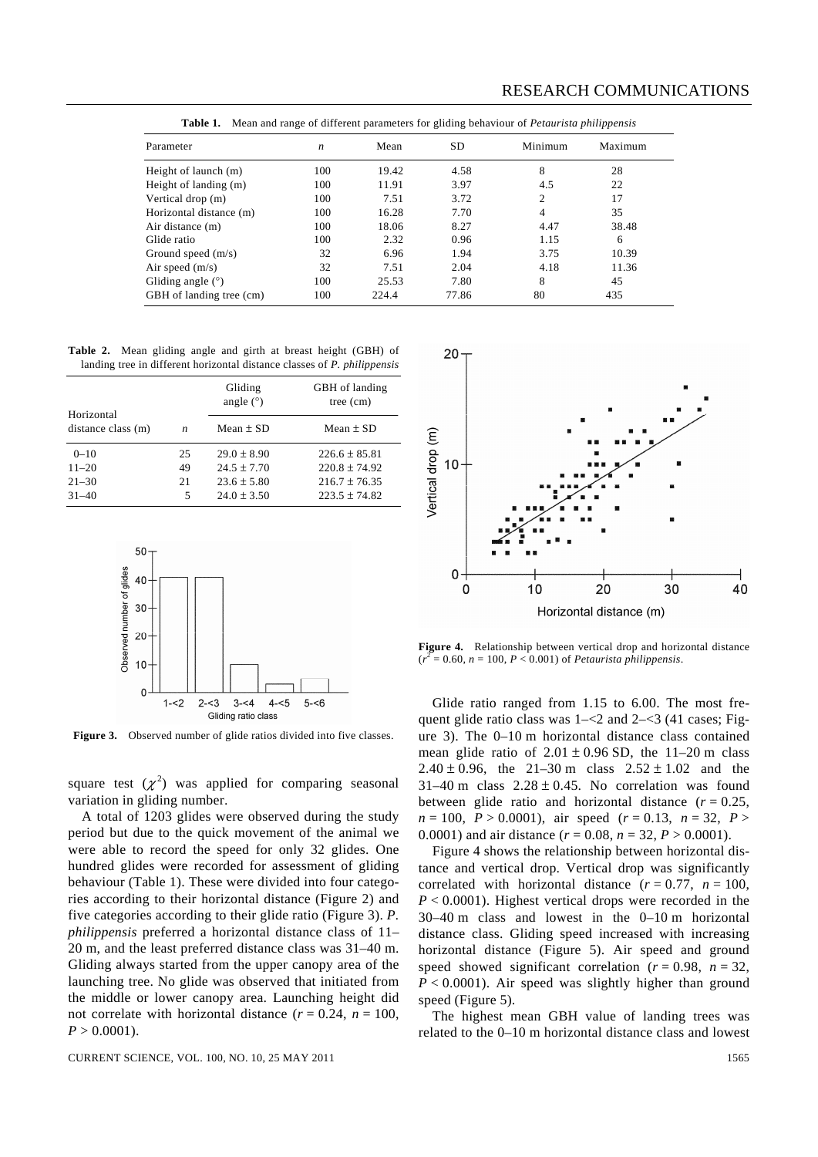| Parameter                | n   | Mean  | <b>SD</b> | Minimum | Maximum |
|--------------------------|-----|-------|-----------|---------|---------|
| Height of launch (m)     | 100 | 19.42 | 4.58      | 8       | 28      |
| Height of landing (m)    | 100 | 11.91 | 3.97      | 4.5     | 22      |
| Vertical drop (m)        | 100 | 7.51  | 3.72      | 2       | 17      |
| Horizontal distance (m)  | 100 | 16.28 | 7.70      | 4       | 35      |
| Air distance (m)         | 100 | 18.06 | 8.27      | 4.47    | 38.48   |
| Glide ratio              | 100 | 2.32  | 0.96      | 1.15    | 6       |
| Ground speed $(m/s)$     | 32  | 6.96  | 1.94      | 3.75    | 10.39   |
| Air speed $(m/s)$        | 32  | 7.51  | 2.04      | 4.18    | 11.36   |
| Gliding angle $(°)$      | 100 | 25.53 | 7.80      | 8       | 45      |
| GBH of landing tree (cm) | 100 | 224.4 | 77.86     | 80      | 435     |

**Table 1.** Mean and range of different parameters for gliding behaviour of *Petaurista philippensis*

**Table 2.** Mean gliding angle and girth at breast height (GBH) of landing tree in different horizontal distance classes of *P. philippensis*

|                                  |                  | Gliding<br>angle $(°)$ | GBH of landing<br>tree (cm) |  |
|----------------------------------|------------------|------------------------|-----------------------------|--|
| Horizontal<br>distance class (m) | $\boldsymbol{n}$ | $Mean + SD$            | $Mean + SD$                 |  |
| $0 - 10$                         | 25               | $29.0 + 8.90$          | $226.6 \pm 85.81$           |  |
| $11 - 20$                        | 49               | $24.5 + 7.70$          | $220.8 + 74.92$             |  |
| $21 - 30$                        | 21               | $23.6 + 5.80$          | $216.7 + 76.35$             |  |
| $31 - 40$                        | 5                | $24.0 \pm 3.50$        | $223.5 + 74.82$             |  |



**Figure 3.** Observed number of glide ratios divided into five classes.

square test  $(\chi^2)$  was applied for comparing seasonal variation in gliding number.

 A total of 1203 glides were observed during the study period but due to the quick movement of the animal we were able to record the speed for only 32 glides. One hundred glides were recorded for assessment of gliding behaviour (Table 1). These were divided into four categories according to their horizontal distance (Figure 2) and five categories according to their glide ratio (Figure 3). *P. philippensis* preferred a horizontal distance class of 11– 20 m, and the least preferred distance class was 31–40 m. Gliding always started from the upper canopy area of the launching tree. No glide was observed that initiated from the middle or lower canopy area. Launching height did not correlate with horizontal distance  $(r = 0.24, n = 100,$  $P > 0.0001$ ).



**Figure 4.** Relationship between vertical drop and horizontal distance  $(r^2 = 0.60, n = 100, P < 0.001)$  of *Petaurista philippensis*.

 Glide ratio ranged from 1.15 to 6.00. The most frequent glide ratio class was  $1 - 2$  and  $2 - 3$  (41 cases; Figure 3). The 0–10 m horizontal distance class contained mean glide ratio of  $2.01 \pm 0.96$  SD, the 11–20 m class 2.40  $\pm$  0.96, the 21–30 m class 2.52  $\pm$  1.02 and the  $31-40$  m class  $2.28 \pm 0.45$ . No correlation was found between glide ratio and horizontal distance  $(r = 0.25)$ ,  $n = 100$ ,  $P > 0.0001$ , air speed ( $r = 0.13$ ,  $n = 32$ ,  $P >$ 0.0001) and air distance  $(r = 0.08, n = 32, P > 0.0001)$ .

 Figure 4 shows the relationship between horizontal distance and vertical drop. Vertical drop was significantly correlated with horizontal distance  $(r = 0.77, n = 100,$  $P < 0.0001$ ). Highest vertical drops were recorded in the 30–40 m class and lowest in the 0–10 m horizontal distance class. Gliding speed increased with increasing horizontal distance (Figure 5). Air speed and ground speed showed significant correlation ( $r = 0.98$ ,  $n = 32$ ,  $P < 0.0001$ ). Air speed was slightly higher than ground speed (Figure 5).

 The highest mean GBH value of landing trees was related to the 0–10 m horizontal distance class and lowest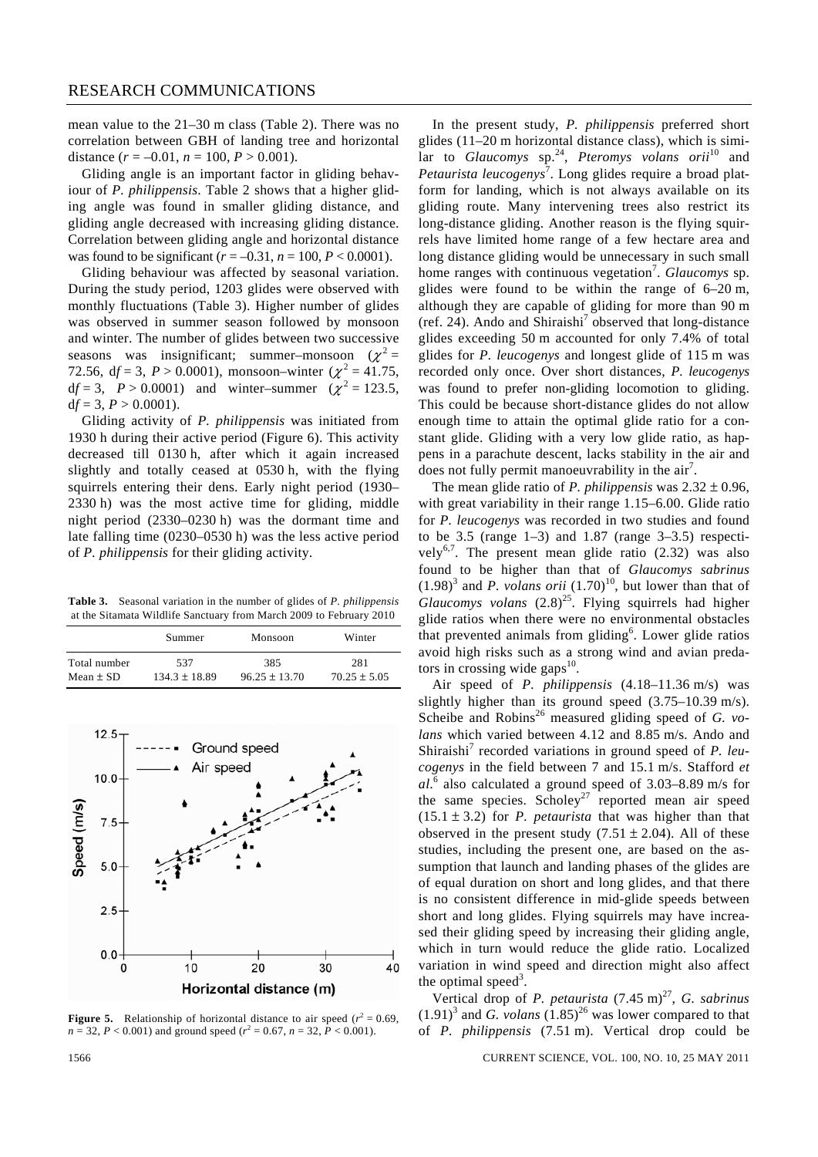mean value to the 21–30 m class (Table 2). There was no correlation between GBH of landing tree and horizontal distance  $(r = -0.01, n = 100, P > 0.001)$ .

 Gliding angle is an important factor in gliding behaviour of *P. philippensis*. Table 2 shows that a higher gliding angle was found in smaller gliding distance, and gliding angle decreased with increasing gliding distance. Correlation between gliding angle and horizontal distance was found to be significant ( $r = -0.31$ ,  $n = 100$ ,  $P < 0.0001$ ).

 Gliding behaviour was affected by seasonal variation. During the study period, 1203 glides were observed with monthly fluctuations (Table 3). Higher number of glides was observed in summer season followed by monsoon and winter. The number of glides between two successive seasons was insignificant; summer–monsoon  $(\chi^2 =$ 72.56,  $df = 3$ ,  $P > 0.0001$ ), monsoon–winter ( $\chi^2 = 41.75$ , df = 3,  $P > 0.0001$ ) and winter–summer ( $\chi^2 = 123.5$ ,  $df = 3$ ,  $P > 0.0001$ ).

 Gliding activity of *P. philippensis* was initiated from 1930 h during their active period (Figure 6). This activity decreased till 0130 h, after which it again increased slightly and totally ceased at 0530 h, with the flying squirrels entering their dens. Early night period (1930– 2330 h) was the most active time for gliding, middle night period (2330–0230 h) was the dormant time and late falling time (0230–0530 h) was the less active period of *P. philippensis* for their gliding activity.

**Table 3.** Seasonal variation in the number of glides of *P. philippensis*  at the Sitamata Wildlife Sanctuary from March 2009 to February 2010

|              | Summer          | Monsoon         | Winter         |
|--------------|-----------------|-----------------|----------------|
| Total number | 537             | 385             | 281            |
| $Mean + SD$  | $134.3 + 18.89$ | $96.25 + 13.70$ | $70.25 + 5.05$ |



**Figure 5.** Relationship of horizontal distance to air speed  $(r^2 = 0.69)$ ,  $n = 32, P < 0.001$ ) and ground speed ( $r^2 = 0.67, n = 32, P < 0.001$ ).

 In the present study, *P. philippensis* preferred short glides (11–20 m horizontal distance class), which is similar to *Glaucomys* sp.24, *Pteromys volans orii*10 and Petaurista leucogenys<sup>7</sup>. Long glides require a broad platform for landing, which is not always available on its gliding route. Many intervening trees also restrict its long-distance gliding. Another reason is the flying squirrels have limited home range of a few hectare area and long distance gliding would be unnecessary in such small home ranges with continuous vegetation<sup>7</sup>. *Glaucomys* sp. glides were found to be within the range of 6–20 m, although they are capable of gliding for more than 90 m (ref. 24). Ando and Shiraishi<sup>7</sup> observed that long-distance glides exceeding 50 m accounted for only 7.4% of total glides for *P. leucogenys* and longest glide of 115 m was recorded only once. Over short distances, *P. leucogenys* was found to prefer non-gliding locomotion to gliding. This could be because short-distance glides do not allow enough time to attain the optimal glide ratio for a constant glide. Gliding with a very low glide ratio, as happens in a parachute descent, lacks stability in the air and does not fully permit manoeuvrability in the  $air<sup>7</sup>$ .

 The mean glide ratio of *P. philippensis* was 2.32 ± 0.96, with great variability in their range 1.15–6.00. Glide ratio for *P. leucogenys* was recorded in two studies and found to be 3.5 (range  $1-3$ ) and 1.87 (range  $3-3.5$ ) respectively<sup>6,7</sup>. The present mean glide ratio  $(2.32)$  was also found to be higher than that of *Glaucomys sabrinus*  $(1.98)^3$  and *P. volans orii*  $(1.70)^{10}$ , but lower than that of *Glaucomys volans*  $(2.8)^{25}$ . Flying squirrels had higher glide ratios when there were no environmental obstacles that prevented animals from gliding<sup>6</sup>. Lower glide ratios avoid high risks such as a strong wind and avian predators in crossing wide gaps $^{10}$ .

 Air speed of *P. philippensis* (4.18–11.36 m/s) was slightly higher than its ground speed (3.75–10.39 m/s). Scheibe and Robins<sup>26</sup> measured gliding speed of *G. volans* which varied between 4.12 and 8.85 m/s. Ando and Shiraishi<sup>7</sup> recorded variations in ground speed of *P. leucogenys* in the field between 7 and 15.1 m/s. Stafford *et al*. 6 also calculated a ground speed of 3.03–8.89 m/s for the same species. Scholey<sup>27</sup> reported mean air speed  $(15.1 \pm 3.2)$  for *P. petaurista* that was higher than that observed in the present study  $(7.51 \pm 2.04)$ . All of these studies, including the present one, are based on the assumption that launch and landing phases of the glides are of equal duration on short and long glides, and that there is no consistent difference in mid-glide speeds between short and long glides. Flying squirrels may have increased their gliding speed by increasing their gliding angle, which in turn would reduce the glide ratio. Localized variation in wind speed and direction might also affect the optimal speed<sup>3</sup>.

Vertical drop of *P. petaurista* (7.45 m)<sup>27</sup>, *G. sabrinus*  $(1.91)^3$  and *G. volans*  $(1.85)^{26}$  was lower compared to that of *P. philippensis* (7.51 m). Vertical drop could be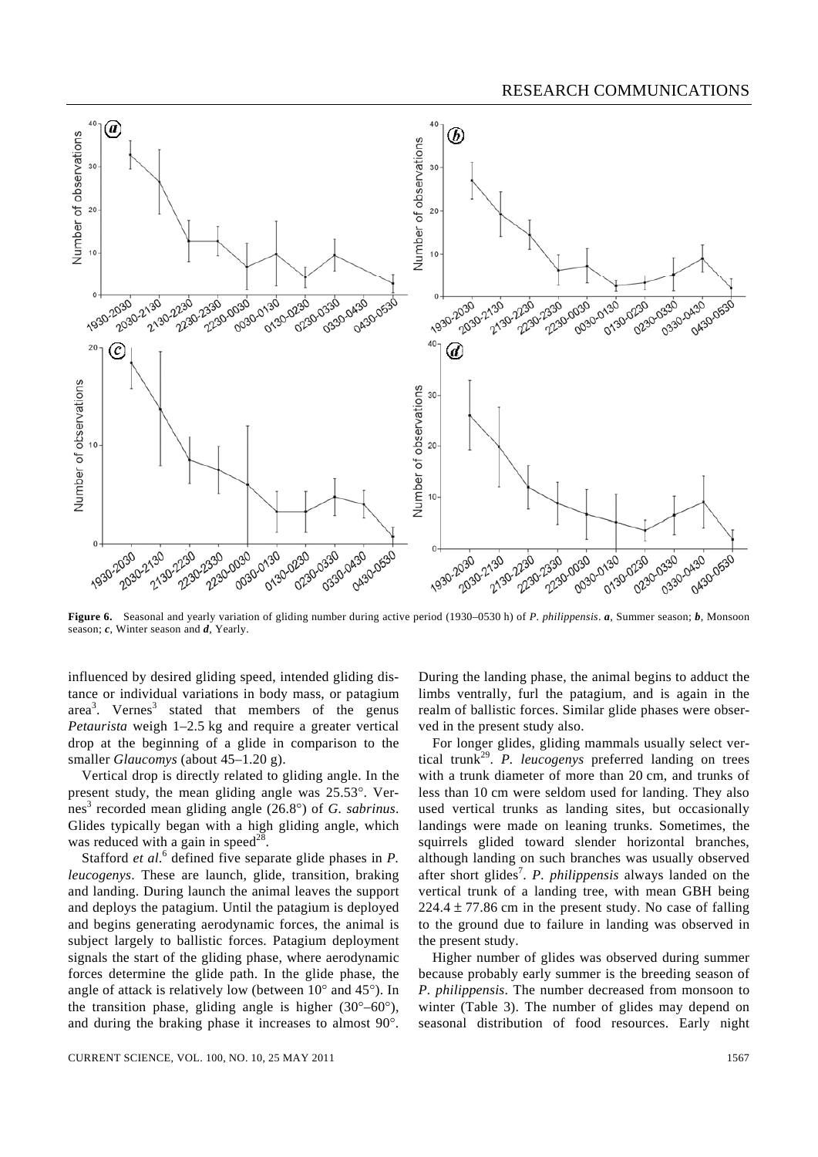

**Figure 6.** Seasonal and yearly variation of gliding number during active period (1930–0530 h) of *P. philippensis*. *a*, Summer season; *b*, Monsoon season; *c*, Winter season and *d*, Yearly.

influenced by desired gliding speed, intended gliding distance or individual variations in body mass, or patagium area<sup>3</sup>. Vernes<sup>3</sup> stated that members of the genus *Petaurista* weigh 1–2.5 kg and require a greater vertical drop at the beginning of a glide in comparison to the smaller *Glaucomys* (about 45–1.20 g).

 Vertical drop is directly related to gliding angle. In the present study, the mean gliding angle was 25.53°. Vernes<sup>3</sup> recorded mean gliding angle (26.8°) of *G. sabrinus*. Glides typically began with a high gliding angle, which was reduced with a gain in speed<sup>28</sup>.

Stafford *et al.*<sup>6</sup> defined five separate glide phases in *P*. *leucogenys*. These are launch, glide, transition, braking and landing. During launch the animal leaves the support and deploys the patagium. Until the patagium is deployed and begins generating aerodynamic forces, the animal is subject largely to ballistic forces. Patagium deployment signals the start of the gliding phase, where aerodynamic forces determine the glide path. In the glide phase, the angle of attack is relatively low (between 10° and 45°). In the transition phase, gliding angle is higher  $(30^{\circ} - 60^{\circ})$ , and during the braking phase it increases to almost 90°.

During the landing phase, the animal begins to adduct the limbs ventrally, furl the patagium, and is again in the realm of ballistic forces. Similar glide phases were observed in the present study also.

 For longer glides, gliding mammals usually select vertical trunk29. *P. leucogenys* preferred landing on trees with a trunk diameter of more than 20 cm, and trunks of less than 10 cm were seldom used for landing. They also used vertical trunks as landing sites, but occasionally landings were made on leaning trunks. Sometimes, the squirrels glided toward slender horizontal branches, although landing on such branches was usually observed after short glides<sup>7</sup>. *P. philippensis* always landed on the vertical trunk of a landing tree, with mean GBH being 224.4  $\pm$  77.86 cm in the present study. No case of falling to the ground due to failure in landing was observed in the present study.

 Higher number of glides was observed during summer because probably early summer is the breeding season of *P. philippensis*. The number decreased from monsoon to winter (Table 3). The number of glides may depend on seasonal distribution of food resources. Early night